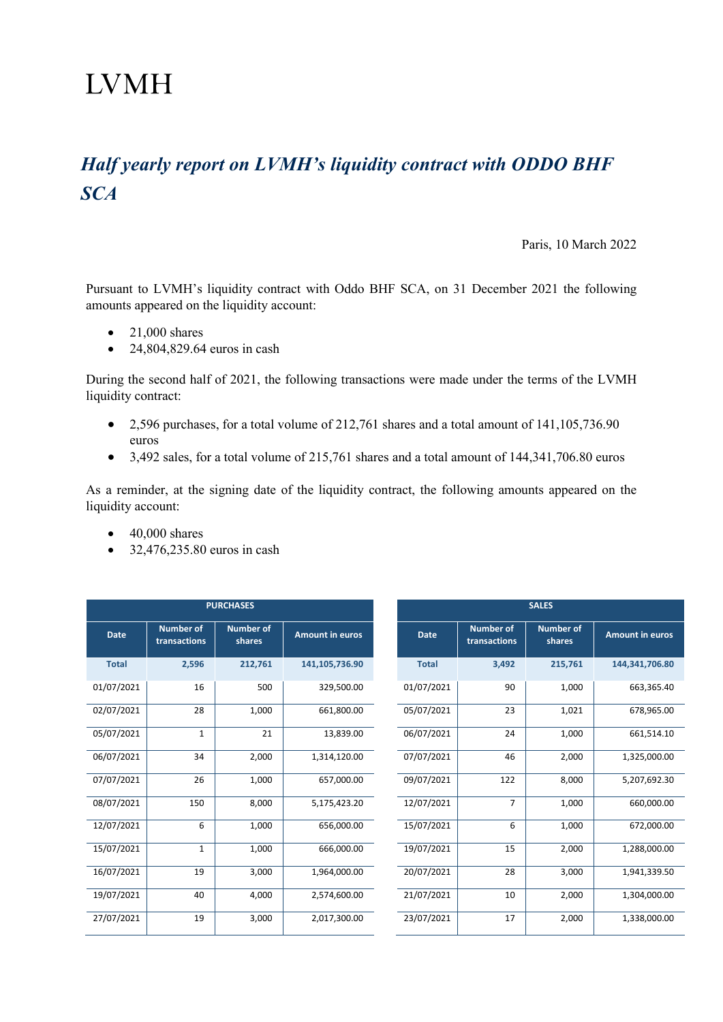## **LVMH**

## *Half yearly report on LVMH's liquidity contract with ODDO BHF SCA*

Paris, 10 March 2022

Pursuant to LVMH's liquidity contract with Oddo BHF SCA, on 31 December 2021 the following amounts appeared on the liquidity account:

- $\bullet$  21,000 shares
- 24,804,829.64 euros in cash

During the second half of 2021, the following transactions were made under the terms of the LVMH liquidity contract:

- 2,596 purchases, for a total volume of 212,761 shares and a total amount of 141,105,736.90 euros
- 3,492 sales, for a total volume of 215,761 shares and a total amount of 144,341,706.80 euros

As a reminder, at the signing date of the liquidity contract, the following amounts appeared on the liquidity account:

- $\bullet$  40,000 shares
- 32,476,235.80 euros in cash

|              |                                  | <b>PURCHASES</b>           |                        | <b>SALES</b> |                                  |                            |                        |  |
|--------------|----------------------------------|----------------------------|------------------------|--------------|----------------------------------|----------------------------|------------------------|--|
| <b>Date</b>  | <b>Number of</b><br>transactions | <b>Number of</b><br>shares | <b>Amount in euros</b> | <b>Date</b>  | <b>Number of</b><br>transactions | <b>Number of</b><br>shares | <b>Amount in euros</b> |  |
| <b>Total</b> | 2,596                            | 212,761                    | 141,105,736.90         | <b>Total</b> | 3,492                            | 215,761                    | 144,341,706.80         |  |
| 01/07/2021   | 16                               | 500                        | 329,500.00             | 01/07/2021   | 90                               | 1,000                      | 663,365.40             |  |
| 02/07/2021   | 28                               | 1,000                      | 661,800.00             | 05/07/2021   | 23                               | 1,021                      | 678,965.00             |  |
| 05/07/2021   | $\mathbf{1}$                     | 21                         | 13,839.00              | 06/07/2021   | 24                               | 1,000                      | 661,514.10             |  |
| 06/07/2021   | 34                               | 2,000                      | 1,314,120.00           | 07/07/2021   | 46                               | 2,000                      | 1,325,000.00           |  |
| 07/07/2021   | 26                               | 1,000                      | 657,000.00             | 09/07/2021   | 122                              | 8,000                      | 5,207,692.30           |  |
| 08/07/2021   | 150                              | 8,000                      | 5,175,423.20           | 12/07/2021   | $\overline{7}$                   | 1,000                      | 660,000.00             |  |
| 12/07/2021   | 6                                | 1,000                      | 656,000.00             | 15/07/2021   | 6                                | 1,000                      | 672,000.00             |  |
| 15/07/2021   | $\mathbf{1}$                     | 1,000                      | 666,000.00             | 19/07/2021   | 15                               | 2,000                      | 1,288,000.00           |  |
| 16/07/2021   | 19                               | 3,000                      | 1,964,000.00           | 20/07/2021   | 28                               | 3,000                      | 1,941,339.50           |  |
| 19/07/2021   | 40                               | 4,000                      | 2,574,600.00           | 21/07/2021   | 10                               | 2,000                      | 1,304,000.00           |  |
| 27/07/2021   | 19                               | 3,000                      | 2,017,300.00           | 23/07/2021   | 17                               | 2,000                      | 1,338,000.00           |  |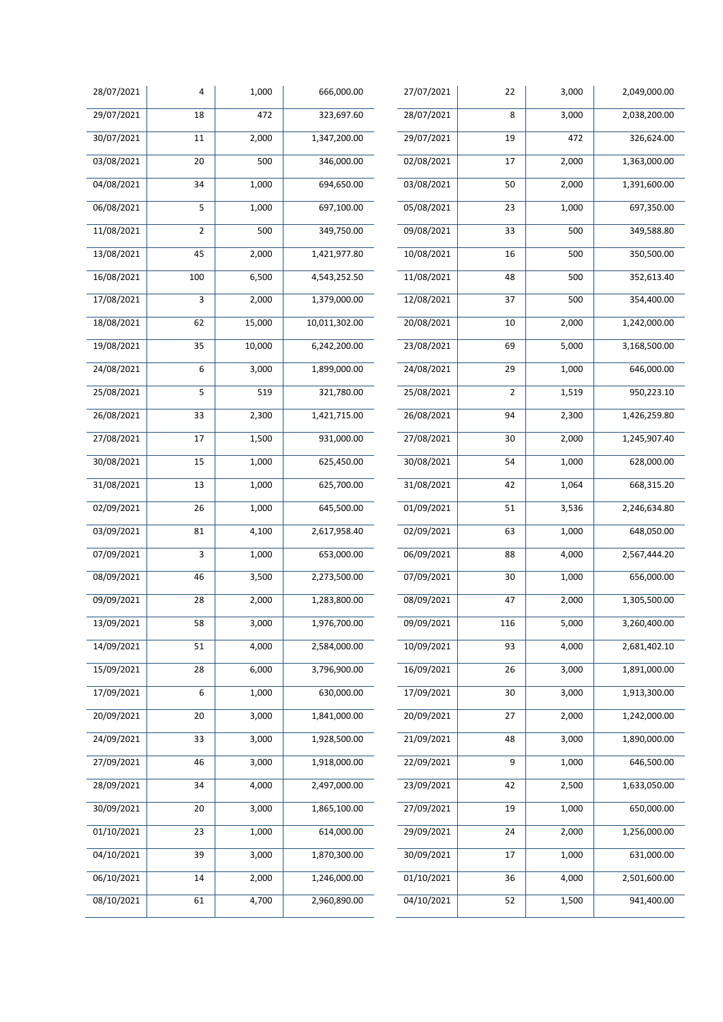| 28/07/2021 | 4               | 1,000  | 666,000.00    | 27/07/2021           | 22             | 3,000 | 2,049,000.00 |
|------------|-----------------|--------|---------------|----------------------|----------------|-------|--------------|
| 29/07/2021 | 18              | 472    | 323,697.60    | 28/07/2021           | 8              | 3,000 | 2,038,200.00 |
| 30/07/2021 | 11              | 2,000  | 1,347,200.00  | 29/07/2021           | 19             | 472   | 326,624.00   |
| 03/08/2021 | $\overline{20}$ | 500    | 346,000.00    | 02/08/2021           | 17             | 2,000 | 1,363,000.00 |
| 04/08/2021 | 34              | 1,000  | 694,650.00    | 03/08/2021           | 50             | 2,000 | 1,391,600.00 |
| 06/08/2021 | 5               | 1,000  | 697,100.00    | 05/08/2021           | 23             | 1,000 | 697,350.00   |
| 11/08/2021 | $\mathbf 2$     | 500    | 349,750.00    | 09/08/2021           | 33             | 500   | 349,588.80   |
| 13/08/2021 | 45              | 2,000  | 1,421,977.80  | 10/08/2021           | 16             | 500   | 350,500.00   |
| 16/08/2021 | 100             | 6,500  | 4,543,252.50  | 11/08/2021           | 48             | 500   | 352,613.40   |
| 17/08/2021 | 3               | 2,000  | 1,379,000.00  | 12/08/2021           | 37             | 500   | 354,400.00   |
| 18/08/2021 | 62              | 15,000 | 10,011,302.00 | 20/08/2021           | 10             | 2,000 | 1,242,000.00 |
| 19/08/2021 | 35              | 10,000 | 6,242,200.00  | 23/08/2021           | 69             | 5,000 | 3,168,500.00 |
| 24/08/2021 | 6               | 3,000  | 1,899,000.00  | 24/08/2021           | 29             | 1,000 | 646,000.00   |
| 25/08/2021 | 5               | 519    | 321,780.00    | 25/08/2021           | $\overline{2}$ | 1,519 | 950,223.10   |
| 26/08/2021 | 33              | 2,300  | 1,421,715.00  | 26/08/2021           | 94             | 2,300 | 1,426,259.80 |
| 27/08/2021 | 17              | 1,500  | 931,000.00    | 27/08/2021           | 30             | 2,000 | 1,245,907.40 |
| 30/08/2021 | 15              | 1,000  | 625,450.00    | 30/08/2021           | 54             | 1,000 | 628,000.00   |
| 31/08/2021 | 13              | 1,000  | 625,700.00    | 31/08/2021           | 42             | 1,064 | 668,315.20   |
| 02/09/2021 | 26              | 1,000  | 645,500.00    | $\frac{01}{09/2021}$ | 51             | 3,536 | 2,246,634.80 |
| 03/09/2021 | 81              | 4,100  | 2,617,958.40  | 02/09/2021           | 63             | 1,000 | 648,050.00   |
| 07/09/2021 | 3               | 1,000  | 653,000.00    | 06/09/2021           | 88             | 4,000 | 2,567,444.20 |
| 08/09/2021 | 46              | 3,500  | 2,273,500.00  | 07/09/2021           | 30             | 1,000 | 656,000.00   |
| 09/09/2021 | 28              | 2,000  | 1,283,800.00  | 08/09/2021           | 47             | 2,000 | 1,305,500.00 |
| 13/09/2021 | 58              | 3,000  | 1,976,700.00  | 09/09/2021           | 116            | 5,000 | 3,260,400.00 |
| 14/09/2021 | 51              | 4,000  | 2,584,000.00  | 10/09/2021           | 93             | 4,000 | 2,681,402.10 |
| 15/09/2021 | 28              | 6,000  | 3,796,900.00  | 16/09/2021           | 26             | 3,000 | 1,891,000.00 |
| 17/09/2021 | 6               | 1,000  | 630,000.00    | 17/09/2021           | 30             | 3,000 | 1,913,300.00 |
| 20/09/2021 | 20              | 3,000  | 1,841,000.00  | 20/09/2021           | 27             | 2,000 | 1,242,000.00 |
| 24/09/2021 | 33              | 3,000  | 1,928,500.00  | 21/09/2021           | 48             | 3,000 | 1,890,000.00 |
| 27/09/2021 | 46              | 3,000  | 1,918,000.00  | 22/09/2021           | 9              | 1,000 | 646,500.00   |
| 28/09/2021 | 34              | 4,000  | 2,497,000.00  | 23/09/2021           | 42             | 2,500 | 1,633,050.00 |
| 30/09/2021 | 20              | 3,000  | 1,865,100.00  | 27/09/2021           | 19             | 1,000 | 650,000.00   |
| 01/10/2021 | 23              | 1,000  | 614,000.00    | 29/09/2021           | 24             | 2,000 | 1,256,000.00 |
| 04/10/2021 | 39              | 3,000  | 1,870,300.00  | 30/09/2021           | 17             | 1,000 | 631,000.00   |
| 06/10/2021 | 14              | 2,000  | 1,246,000.00  | 01/10/2021           | 36             | 4,000 | 2,501,600.00 |
| 08/10/2021 | 61              | 4,700  | 2,960,890.00  | 04/10/2021           | 52             | 1,500 | 941,400.00   |
|            |                 |        |               |                      |                |       |              |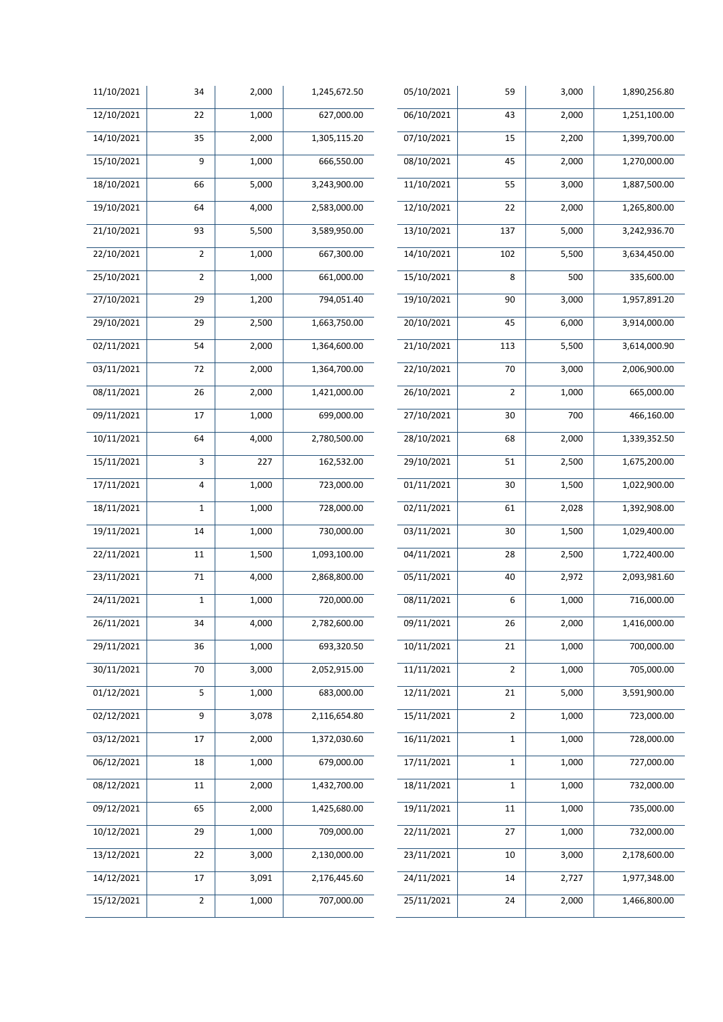| 11/10/2021 | 34             | 2,000 | 1,245,672.50 | 05/10/2021              | 59             | 3,000 | 1,890,256.80 |
|------------|----------------|-------|--------------|-------------------------|----------------|-------|--------------|
| 12/10/2021 | 22             | 1,000 | 627,000.00   | 06/10/2021              | 43             | 2,000 | 1,251,100.00 |
| 14/10/2021 | 35             | 2,000 | 1,305,115.20 | 07/10/2021              | 15             | 2,200 | 1,399,700.00 |
| 15/10/2021 | 9              | 1,000 | 666,550.00   | 08/10/2021              | 45             | 2,000 | 1,270,000.00 |
| 18/10/2021 | 66             | 5,000 | 3,243,900.00 | 11/10/2021              | 55             | 3,000 | 1,887,500.00 |
| 19/10/2021 | 64             | 4,000 | 2,583,000.00 | 12/10/2021              | 22             | 2,000 | 1,265,800.00 |
| 21/10/2021 | 93             | 5,500 | 3,589,950.00 | 13/10/2021              | 137            | 5,000 | 3,242,936.70 |
| 22/10/2021 | $\mathbf 2$    | 1,000 | 667,300.00   | 14/10/2021              | 102            | 5,500 | 3,634,450.00 |
| 25/10/2021 | $\overline{2}$ | 1,000 | 661,000.00   | 15/10/2021              | 8              | 500   | 335,600.00   |
| 27/10/2021 | 29             | 1,200 | 794,051.40   | 19/10/2021              | 90             | 3,000 | 1,957,891.20 |
| 29/10/2021 | 29             | 2,500 | 1,663,750.00 | $\overline{20}/10/2021$ | 45             | 6,000 | 3,914,000.00 |
| 02/11/2021 | 54             | 2,000 | 1,364,600.00 | 21/10/2021              | 113            | 5,500 | 3,614,000.90 |
| 03/11/2021 | 72             | 2,000 | 1,364,700.00 | 22/10/2021              | 70             | 3,000 | 2,006,900.00 |
| 08/11/2021 | 26             | 2,000 | 1,421,000.00 | 26/10/2021              | $\overline{2}$ | 1,000 | 665,000.00   |
| 09/11/2021 | 17             | 1,000 | 699,000.00   | 27/10/2021              | 30             | 700   | 466,160.00   |
| 10/11/2021 | 64             | 4,000 | 2,780,500.00 | 28/10/2021              | 68             | 2,000 | 1,339,352.50 |
| 15/11/2021 | 3              | 227   | 162,532.00   | 29/10/2021              | 51             | 2,500 | 1,675,200.00 |
| 17/11/2021 | $\overline{a}$ | 1,000 | 723,000.00   | 01/11/2021              | 30             | 1,500 | 1,022,900.00 |
| 18/11/2021 | $\mathbf{1}$   | 1,000 | 728,000.00   | 02/11/2021              | 61             | 2,028 | 1,392,908.00 |
| 19/11/2021 | 14             | 1,000 | 730,000.00   | 03/11/2021              | 30             | 1,500 | 1,029,400.00 |
| 22/11/2021 | 11             | 1,500 | 1,093,100.00 | 04/11/2021              | 28             | 2,500 | 1,722,400.00 |
| 23/11/2021 | 71             | 4,000 | 2,868,800.00 | 05/11/2021              | 40             | 2,972 | 2,093,981.60 |
| 24/11/2021 | $\mathbf 1$    | 1,000 | 720,000.00   | 08/11/2021              | 6              | 1,000 | 716,000.00   |
| 26/11/2021 | 34             | 4,000 | 2,782,600.00 | 09/11/2021              | 26             | 2,000 | 1,416,000.00 |
| 29/11/2021 | 36             | 1,000 | 693,320.50   | 10/11/2021              | 21             | 1,000 | 700,000.00   |
| 30/11/2021 | 70             | 3,000 | 2,052,915.00 | 11/11/2021              | $\overline{2}$ | 1,000 | 705,000.00   |
| 01/12/2021 | 5              | 1,000 | 683,000.00   | 12/11/2021              | 21             | 5,000 | 3,591,900.00 |
| 02/12/2021 | 9              | 3,078 | 2,116,654.80 | 15/11/2021              | $\overline{2}$ | 1,000 | 723,000.00   |
| 03/12/2021 | 17             | 2,000 | 1,372,030.60 | 16/11/2021              | $\mathbf 1$    | 1,000 | 728,000.00   |
| 06/12/2021 | 18             | 1,000 | 679,000.00   | 17/11/2021              | $\mathbf 1$    | 1,000 | 727,000.00   |
| 08/12/2021 | 11             | 2,000 | 1,432,700.00 | 18/11/2021              | $\mathbf 1$    | 1,000 | 732,000.00   |
| 09/12/2021 | 65             | 2,000 | 1,425,680.00 | 19/11/2021              | 11             | 1,000 | 735,000.00   |
| 10/12/2021 | 29             | 1,000 | 709,000.00   | $\frac{22}{11}{2021}$   | 27             | 1,000 | 732,000.00   |
| 13/12/2021 | 22             | 3,000 | 2,130,000.00 | 23/11/2021              | 10             | 3,000 | 2,178,600.00 |
| 14/12/2021 | 17             | 3,091 | 2,176,445.60 | 24/11/2021              | 14             | 2,727 | 1,977,348.00 |
| 15/12/2021 | $\mathbf 2$    | 1,000 | 707,000.00   | 25/11/2021              | 24             | 2,000 | 1,466,800.00 |
|            |                |       |              |                         |                |       |              |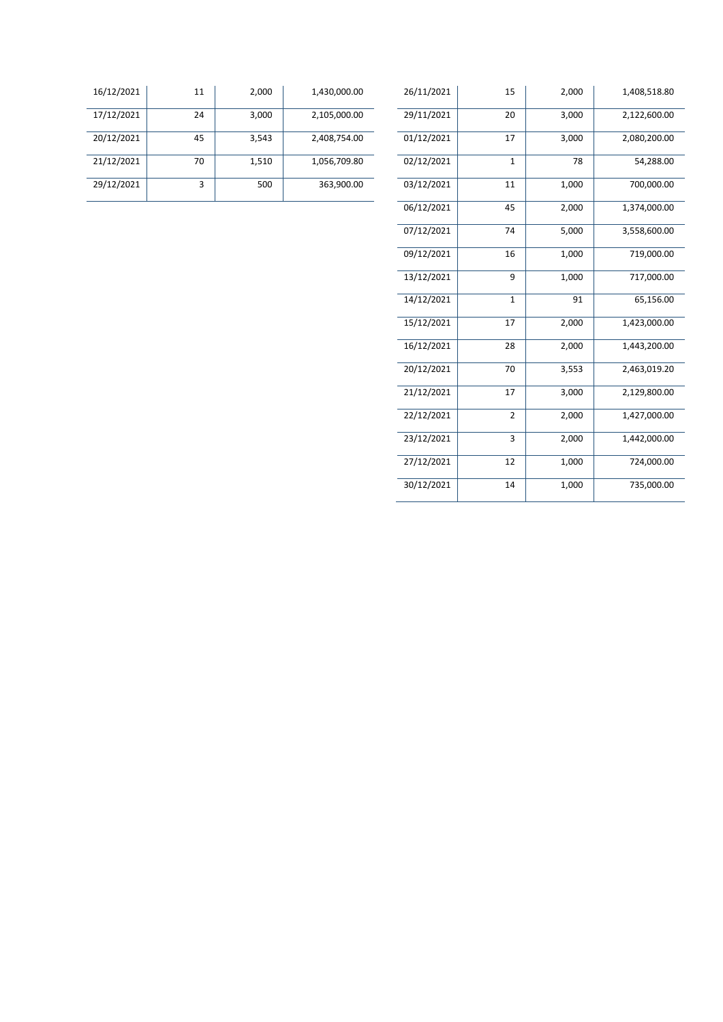| 26/11/2021 | 15             | 2,000 | 1,408,518.80 |
|------------|----------------|-------|--------------|
| 29/11/2021 | 20             | 3,000 | 2,122,600.00 |
| 01/12/2021 | 17             | 3,000 | 2,080,200.00 |
| 02/12/2021 | $\overline{1}$ | 78    | 54,288.00    |
| 03/12/2021 | 11             | 1,000 | 700,000.00   |
| 06/12/2021 | 45             | 2,000 | 1,374,000.00 |
| 07/12/2021 | 74             | 5,000 | 3,558,600.00 |
| 09/12/2021 | 16             | 1,000 | 719,000.00   |
| 13/12/2021 | 9              | 1,000 | 717,000.00   |
| 14/12/2021 | $\mathbf{1}$   | 91    | 65,156.00    |
| 15/12/2021 | 17             | 2,000 | 1,423,000.00 |
| 16/12/2021 | 28             | 2,000 | 1,443,200.00 |
| 20/12/2021 | 70             | 3,553 | 2,463,019.20 |
| 21/12/2021 | 17             | 3,000 | 2,129,800.00 |
| 22/12/2021 | $\overline{2}$ | 2,000 | 1,427,000.00 |
| 23/12/2021 | 3              | 2,000 | 1,442,000.00 |
| 27/12/2021 | 12             | 1,000 | 724,000.00   |
| 30/12/2021 | 14             | 1,000 | 735,000.00   |

| 16/12/2021 | 11 | 2,000 | 1,430,000.00 | 26/11/2021 | 15 | 2,000 | 1,408,518.80 |
|------------|----|-------|--------------|------------|----|-------|--------------|
| 17/12/2021 | 24 | 3,000 | 2,105,000.00 | 29/11/2021 | 20 | 3,000 | 2,122,600.00 |
| 20/12/2021 | 45 | 3,543 | 2,408,754.00 | 01/12/2021 | 17 | 3,000 | 2,080,200.00 |
| 21/12/2021 | 70 | 1,510 | 1,056,709.80 | 02/12/2021 | л. | 78    | 54,288.00    |
| 29/12/2021 |    | 500   | 363,900.00   | 03/12/2021 | 11 | 1,000 | 700,000.00   |
|            |    |       |              |            |    |       |              |